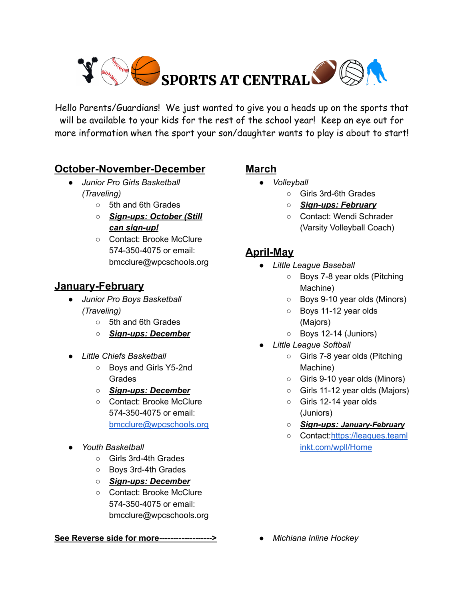

Hello Parents/Guardians! We just wanted to give you a heads up on the sports that will be available to your kids for the rest of the school year! Keep an eye out for more information when the sport your son/daughter wants to play is about to start!

### **October-November-December**

- *● Junior Pro Girls Basketball (Traveling)*
	- 5th and 6th Grades
	- *○ Sign-ups: October (Still can sign-up!*
	- Contact: Brooke McClure 574-350-4075 or email: bmcclure@wpcschools.org

## **January-February**

- *● Junior Pro Boys Basketball (Traveling)*
	- 5th and 6th Grades
	- *○ Sign-ups: December*
- *● Little Chiefs Basketball*
	- Boys and Girls Y5-2nd Grades
	- *○ Sign-ups: December*
	- Contact: Brooke McClure 574-350-4075 or email: [bmcclure@wpcschools.org](mailto:bmcclure@wpcschools.org)
- *● Youth Basketball*
	- Girls 3rd-4th Grades
	- Boys 3rd-4th Grades
	- *○ Sign-ups: December*
	- Contact: Brooke McClure 574-350-4075 or email: bmcclure@wpcschools.org

#### **See Reverse side for more------------------->**

### **March**

- *● Volleyball*
	- Girls 3rd-6th Grades
	- *○ Sign-ups: February*
	- Contact: Wendi Schrader (Varsity Volleyball Coach)

# **April-May**

- *● Little League Baseball*
	- Boys 7-8 year olds (Pitching Machine)
	- Boys 9-10 year olds (Minors)
	- Boys 11-12 year olds (Majors)
	- Boys 12-14 (Juniors)
- *● Little League Softball*
	- Girls 7-8 year olds (Pitching Machine)
	- Girls 9-10 year olds (Minors)
	- Girls 11-12 year olds (Majors)
	- Girls 12-14 year olds (Juniors)
	- *Sign-ups: January-February*
	- Contact:[https://leagues.teaml](https://leagues.teamlinkt.com/wpll/Home) [inkt.com/wpll/Home](https://leagues.teamlinkt.com/wpll/Home)

*● Michiana Inline Hockey*